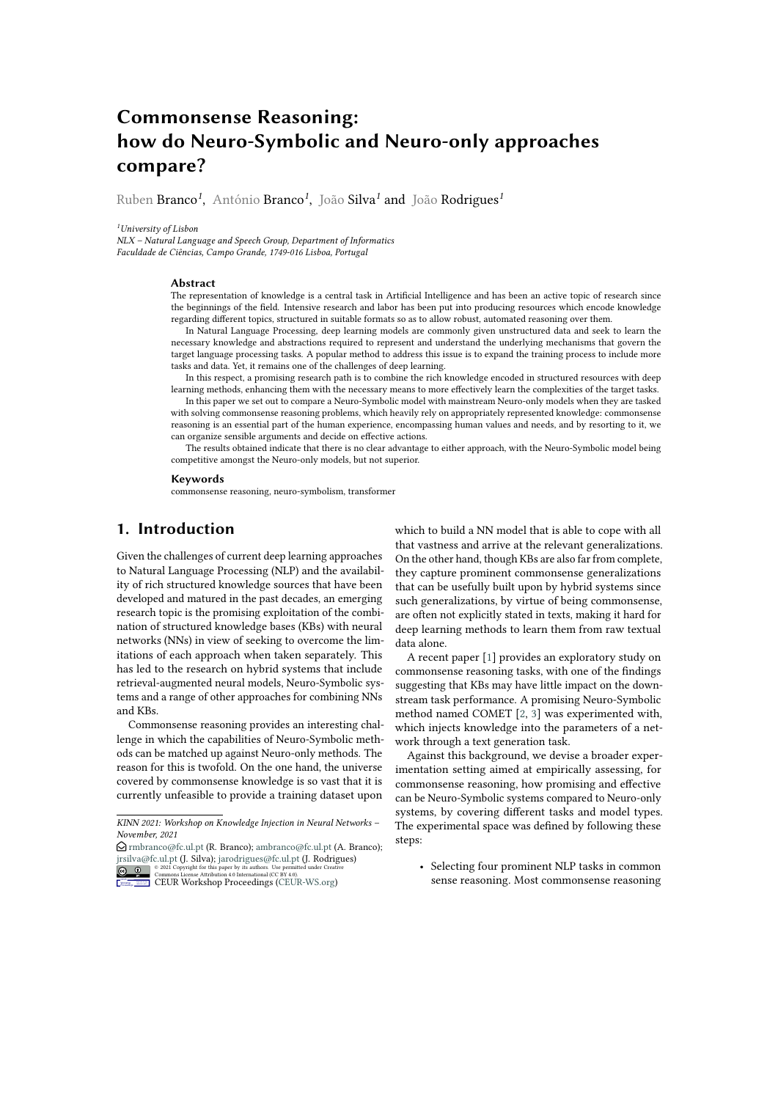# **Commonsense Reasoning: how do Neuro-Symbolic and Neuro-only approaches compare?**

Ruben Branco*<sup>1</sup>* , António Branco*<sup>1</sup>* , João Silva*<sup>1</sup>* and João Rodrigues*<sup>1</sup>*

*<sup>1</sup>University of Lisbon*

*NLX – Natural Language and Speech Group, Department of Informatics Faculdade de Ciências, Campo Grande, 1749-016 Lisboa, Portugal*

#### **Abstract**

The representation of knowledge is a central task in Artificial Intelligence and has been an active topic of research since the beginnings of the field. Intensive research and labor has been put into producing resources which encode knowledge regarding different topics, structured in suitable formats so as to allow robust, automated reasoning over them.

In Natural Language Processing, deep learning models are commonly given unstructured data and seek to learn the necessary knowledge and abstractions required to represent and understand the underlying mechanisms that govern the target language processing tasks. A popular method to address this issue is to expand the training process to include more tasks and data. Yet, it remains one of the challenges of deep learning.

In this respect, a promising research path is to combine the rich knowledge encoded in structured resources with deep learning methods, enhancing them with the necessary means to more effectively learn the complexities of the target tasks.

In this paper we set out to compare a Neuro-Symbolic model with mainstream Neuro-only models when they are tasked with solving commonsense reasoning problems, which heavily rely on appropriately represented knowledge: commonsense reasoning is an essential part of the human experience, encompassing human values and needs, and by resorting to it, we can organize sensible arguments and decide on effective actions.

The results obtained indicate that there is no clear advantage to either approach, with the Neuro-Symbolic model being competitive amongst the Neuro-only models, but not superior.

#### **Keywords**

commonsense reasoning, neuro-symbolism, transformer

## **1. Introduction**

Given the challenges of current deep learning approaches to Natural Language Processing (NLP) and the availability of rich structured knowledge sources that have been developed and matured in the past decades, an emerging research topic is the promising exploitation of the combination of structured knowledge bases (KBs) with neural networks (NNs) in view of seeking to overcome the limitations of each approach when taken separately. This has led to the research on hybrid systems that include retrieval-augmented neural models, Neuro-Symbolic systems and a range of other approaches for combining NNs and KBs.

Commonsense reasoning provides an interesting challenge in which the capabilities of Neuro-Symbolic methods can be matched up against Neuro-only methods. The reason for this is twofold. On the one hand, the universe covered by commonsense knowledge is so vast that it is currently unfeasible to provide a training dataset upon

 $\bigcirc$  [rmbranco@fc.ul.pt](mailto:rmbranco@fc.ul.pt) (R. Branco); [ambranco@fc.ul.pt](mailto:ambranco@fc.ul.pt) (A. Branco); [jrsilva@fc.ul.pt](mailto:jrsilva@fc.ul.pt) (J. Silva); [jarodrigues@fc.ul.pt](mailto:jarodrigues@fc.ul.pt) (J. Rodrigues) er by its<br>4.0 Intern



**Commons License Attribution 4.0 International (CC BY 4.0).**<br>[CEUR](https://creativecommons.org/licenses/by/4.0) Workshop [Proceedings](http://ceur-ws.org) [\(CEUR-WS.org\)](http://ceur-ws.org)

which to build a NN model that is able to cope with all that vastness and arrive at the relevant generalizations. On the other hand, though KBs are also far from complete, they capture prominent commonsense generalizations that can be usefully built upon by hybrid systems since such generalizations, by virtue of being commonsense, are often not explicitly stated in texts, making it hard for deep learning methods to learn them from raw textual data alone.

A recent paper [\[1\]](#page-5-0) provides an exploratory study on commonsense reasoning tasks, with one of the findings suggesting that KBs may have little impact on the downstream task performance. A promising Neuro-Symbolic method named COMET [\[2,](#page-5-1) [3\]](#page-5-2) was experimented with, which injects knowledge into the parameters of a network through a text generation task.

Against this background, we devise a broader experimentation setting aimed at empirically assessing, for commonsense reasoning, how promising and effective can be Neuro-Symbolic systems compared to Neuro-only systems, by covering different tasks and model types. The experimental space was defined by following these steps:

• Selecting four prominent NLP tasks in common sense reasoning. Most commonsense reasoning

*KINN 2021: Workshop on Knowledge Injection in Neural Networks – November, 2021*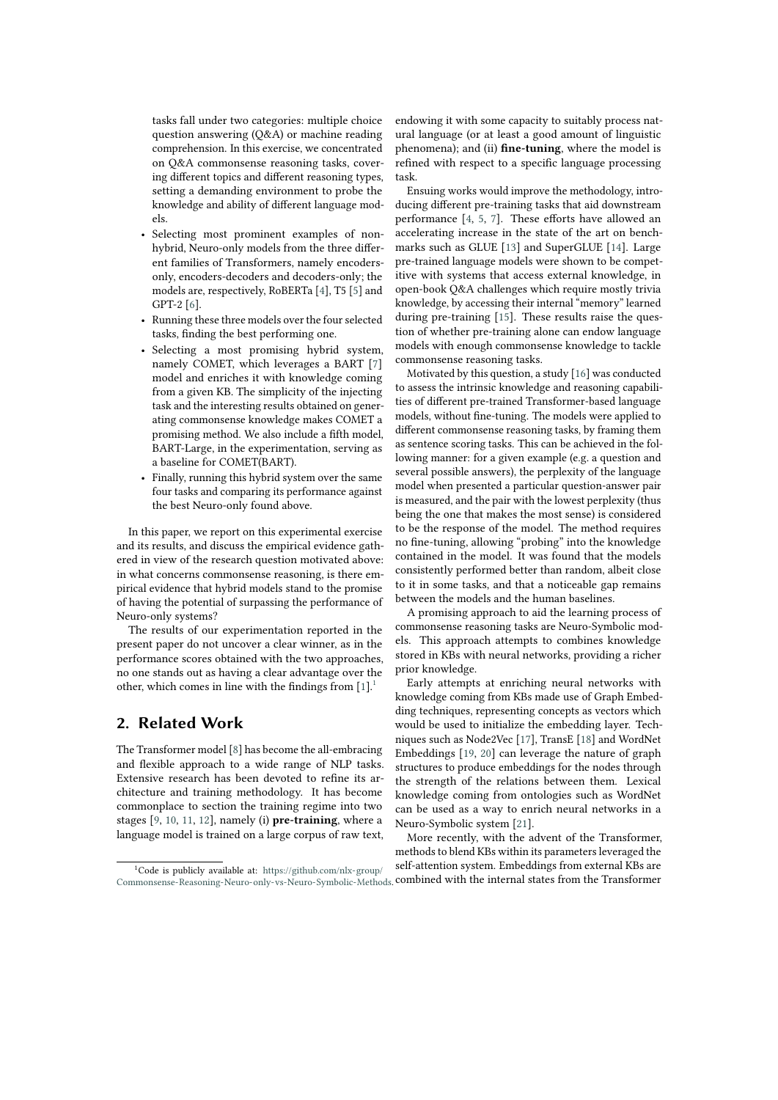tasks fall under two categories: multiple choice question answering (Q&A) or machine reading comprehension. In this exercise, we concentrated on Q&A commonsense reasoning tasks, covering different topics and different reasoning types, setting a demanding environment to probe the knowledge and ability of different language models.

- Selecting most prominent examples of nonhybrid, Neuro-only models from the three different families of Transformers, namely encodersonly, encoders-decoders and decoders-only; the models are, respectively, RoBERTa [\[4\]](#page-6-0), T5 [\[5\]](#page-6-1) and GPT-2 [\[6\]](#page-6-2).
- Running these three models over the four selected tasks, finding the best performing one.
- Selecting a most promising hybrid system, namely COMET, which leverages a BART [\[7\]](#page-6-3) model and enriches it with knowledge coming from a given KB. The simplicity of the injecting task and the interesting results obtained on generating commonsense knowledge makes COMET a promising method. We also include a fifth model, BART-Large, in the experimentation, serving as a baseline for COMET(BART).
- Finally, running this hybrid system over the same four tasks and comparing its performance against the best Neuro-only found above.

In this paper, we report on this experimental exercise and its results, and discuss the empirical evidence gathered in view of the research question motivated above: in what concerns commonsense reasoning, is there empirical evidence that hybrid models stand to the promise of having the potential of surpassing the performance of Neuro-only systems?

The results of our experimentation reported in the present paper do not uncover a clear winner, as in the performance scores obtained with the two approaches, no one stands out as having a clear advantage over the other, which comes in line with the findings from  $[1]$ .<sup>[1](#page-1-0)</sup>

## **2. Related Work**

The Transformer model [\[8\]](#page-6-4) has become the all-embracing and flexible approach to a wide range of NLP tasks. Extensive research has been devoted to refine its architecture and training methodology. It has become commonplace to section the training regime into two stages [\[9,](#page-6-5) [10,](#page-6-6) [11,](#page-6-7) [12\]](#page-6-8), namely (i) **pre-training**, where a language model is trained on a large corpus of raw text, endowing it with some capacity to suitably process natural language (or at least a good amount of linguistic phenomena); and (ii) **fine-tuning**, where the model is refined with respect to a specific language processing task.

Ensuing works would improve the methodology, introducing different pre-training tasks that aid downstream performance [\[4,](#page-6-0) [5,](#page-6-1) [7\]](#page-6-3). These efforts have allowed an accelerating increase in the state of the art on benchmarks such as GLUE [\[13\]](#page-6-9) and SuperGLUE [\[14\]](#page-6-10). Large pre-trained language models were shown to be competitive with systems that access external knowledge, in open-book Q&A challenges which require mostly trivia knowledge, by accessing their internal "memory" learned during pre-training [\[15\]](#page-6-11). These results raise the question of whether pre-training alone can endow language models with enough commonsense knowledge to tackle commonsense reasoning tasks.

Motivated by this question, a study [\[16\]](#page-6-12) was conducted to assess the intrinsic knowledge and reasoning capabilities of different pre-trained Transformer-based language models, without fine-tuning. The models were applied to different commonsense reasoning tasks, by framing them as sentence scoring tasks. This can be achieved in the following manner: for a given example (e.g. a question and several possible answers), the perplexity of the language model when presented a particular question-answer pair is measured, and the pair with the lowest perplexity (thus being the one that makes the most sense) is considered to be the response of the model. The method requires no fine-tuning, allowing "probing" into the knowledge contained in the model. It was found that the models consistently performed better than random, albeit close to it in some tasks, and that a noticeable gap remains between the models and the human baselines.

A promising approach to aid the learning process of commonsense reasoning tasks are Neuro-Symbolic models. This approach attempts to combines knowledge stored in KBs with neural networks, providing a richer prior knowledge.

Early attempts at enriching neural networks with knowledge coming from KBs made use of Graph Embedding techniques, representing concepts as vectors which would be used to initialize the embedding layer. Techniques such as Node2Vec [\[17\]](#page-6-13), TransE [\[18\]](#page-6-14) and WordNet Embeddings [\[19,](#page-6-15) [20\]](#page-6-16) can leverage the nature of graph structures to produce embeddings for the nodes through the strength of the relations between them. Lexical knowledge coming from ontologies such as WordNet can be used as a way to enrich neural networks in a Neuro-Symbolic system [\[21\]](#page-6-17).

More recently, with the advent of the Transformer, methods to blend KBs within its parameters leveraged the self-attention system. Embeddings from external KBs are

<span id="page-1-0"></span><sup>1</sup>Code is publicly available at: [https://github.com/nlx-group/](https://github.com/nlx-group/Commonsense-Reasoning-Neuro-only-vs-Neuro-Symbolic-Methods) [Commonsense-Reasoning-Neuro-only-vs-Neuro-Symbolic-Methods.](https://github.com/nlx-group/Commonsense-Reasoning-Neuro-only-vs-Neuro-Symbolic-Methods) combined with the internal states from the Transformer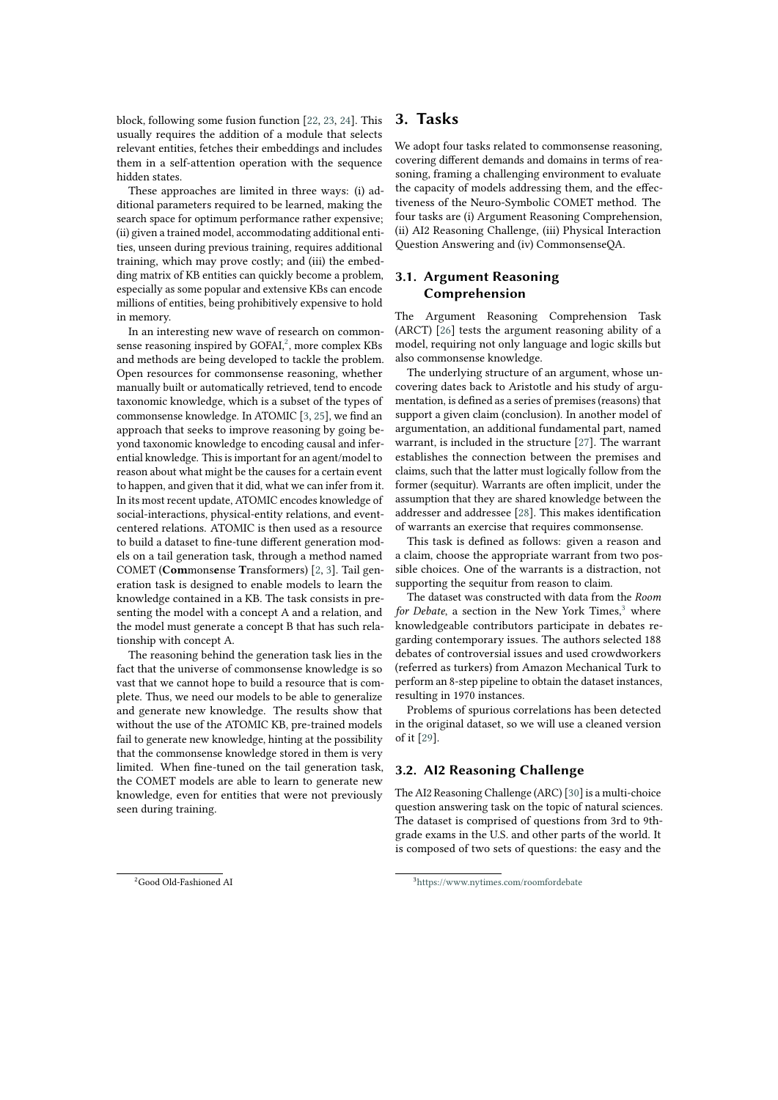block, following some fusion function [\[22,](#page-6-18) [23,](#page-6-19) [24\]](#page-6-20). This usually requires the addition of a module that selects relevant entities, fetches their embeddings and includes them in a self-attention operation with the sequence hidden states.

These approaches are limited in three ways: (i) additional parameters required to be learned, making the search space for optimum performance rather expensive; (ii) given a trained model, accommodating additional entities, unseen during previous training, requires additional training, which may prove costly; and (iii) the embedding matrix of KB entities can quickly become a problem, especially as some popular and extensive KBs can encode millions of entities, being prohibitively expensive to hold in memory.

In an interesting new wave of research on commonsense reasoning inspired by GOFAI, $^2$  $^2$ , more complex KBs and methods are being developed to tackle the problem. Open resources for commonsense reasoning, whether manually built or automatically retrieved, tend to encode taxonomic knowledge, which is a subset of the types of commonsense knowledge. In ATOMIC [\[3,](#page-5-2) [25\]](#page-6-21), we find an approach that seeks to improve reasoning by going beyond taxonomic knowledge to encoding causal and inferential knowledge. This is important for an agent/model to reason about what might be the causes for a certain event to happen, and given that it did, what we can infer from it. In its most recent update, ATOMIC encodes knowledge of social-interactions, physical-entity relations, and eventcentered relations. ATOMIC is then used as a resource to build a dataset to fine-tune different generation models on a tail generation task, through a method named COMET (**Com**mons**e**nse **T**ransformers) [\[2,](#page-5-1) [3\]](#page-5-2). Tail generation task is designed to enable models to learn the knowledge contained in a KB. The task consists in presenting the model with a concept A and a relation, and the model must generate a concept B that has such relationship with concept A.

The reasoning behind the generation task lies in the fact that the universe of commonsense knowledge is so vast that we cannot hope to build a resource that is complete. Thus, we need our models to be able to generalize and generate new knowledge. The results show that without the use of the ATOMIC KB, pre-trained models fail to generate new knowledge, hinting at the possibility that the commonsense knowledge stored in them is very limited. When fine-tuned on the tail generation task, the COMET models are able to learn to generate new knowledge, even for entities that were not previously seen during training.

## **3. Tasks**

We adopt four tasks related to commonsense reasoning, covering different demands and domains in terms of reasoning, framing a challenging environment to evaluate the capacity of models addressing them, and the effectiveness of the Neuro-Symbolic COMET method. The four tasks are (i) Argument Reasoning Comprehension, (ii) AI2 Reasoning Challenge, (iii) Physical Interaction Question Answering and (iv) CommonsenseQA.

## **3.1. Argument Reasoning Comprehension**

The Argument Reasoning Comprehension Task (ARCT) [\[26\]](#page-7-0) tests the argument reasoning ability of a model, requiring not only language and logic skills but also commonsense knowledge.

The underlying structure of an argument, whose uncovering dates back to Aristotle and his study of argumentation, is defined as a series of premises (reasons) that support a given claim (conclusion). In another model of argumentation, an additional fundamental part, named warrant, is included in the structure [\[27\]](#page-7-1). The warrant establishes the connection between the premises and claims, such that the latter must logically follow from the former (sequitur). Warrants are often implicit, under the assumption that they are shared knowledge between the addresser and addressee [\[28\]](#page-7-2). This makes identification of warrants an exercise that requires commonsense.

This task is defined as follows: given a reason and a claim, choose the appropriate warrant from two possible choices. One of the warrants is a distraction, not supporting the sequitur from reason to claim.

The dataset was constructed with data from the *Room for Debate*, a section in the New York Times,<sup>[3](#page-2-1)</sup> where knowledgeable contributors participate in debates regarding contemporary issues. The authors selected 188 debates of controversial issues and used crowdworkers (referred as turkers) from Amazon Mechanical Turk to perform an 8-step pipeline to obtain the dataset instances, resulting in 1970 instances.

Problems of spurious correlations has been detected in the original dataset, so we will use a cleaned version of it [\[29\]](#page-7-3).

### **3.2. AI2 Reasoning Challenge**

The AI2 Reasoning Challenge (ARC) [\[30\]](#page-7-4) is a multi-choice question answering task on the topic of natural sciences. The dataset is comprised of questions from 3rd to 9thgrade exams in the U.S. and other parts of the world. It is composed of two sets of questions: the easy and the

<span id="page-2-0"></span><sup>2</sup>Good Old-Fashioned AI

<span id="page-2-1"></span><sup>3</sup><https://www.nytimes.com/roomfordebate>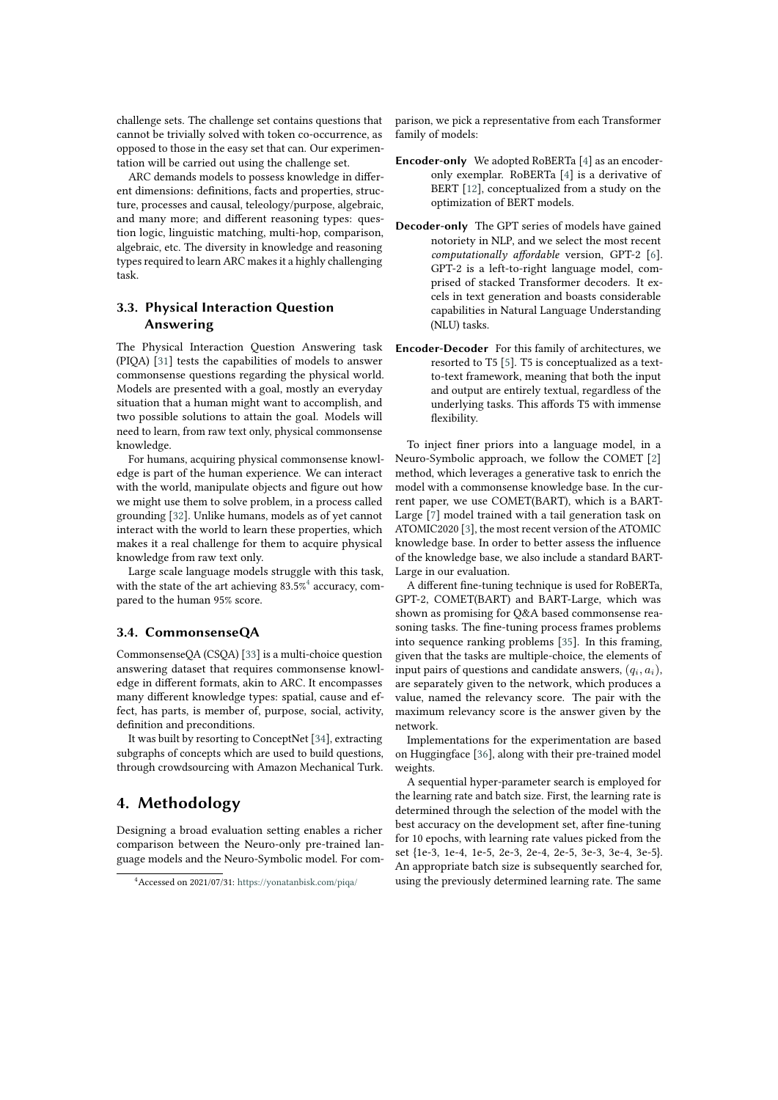challenge sets. The challenge set contains questions that cannot be trivially solved with token co-occurrence, as opposed to those in the easy set that can. Our experimentation will be carried out using the challenge set.

ARC demands models to possess knowledge in different dimensions: definitions, facts and properties, structure, processes and causal, teleology/purpose, algebraic, and many more; and different reasoning types: question logic, linguistic matching, multi-hop, comparison, algebraic, etc. The diversity in knowledge and reasoning types required to learn ARC makes it a highly challenging task.

## **3.3. Physical Interaction Question Answering**

The Physical Interaction Question Answering task (PIQA) [\[31\]](#page-7-5) tests the capabilities of models to answer commonsense questions regarding the physical world. Models are presented with a goal, mostly an everyday situation that a human might want to accomplish, and two possible solutions to attain the goal. Models will need to learn, from raw text only, physical commonsense knowledge.

For humans, acquiring physical commonsense knowledge is part of the human experience. We can interact with the world, manipulate objects and figure out how we might use them to solve problem, in a process called grounding [\[32\]](#page-7-6). Unlike humans, models as of yet cannot interact with the world to learn these properties, which makes it a real challenge for them to acquire physical knowledge from raw text only.

Large scale language models struggle with this task, with the state of the art achieving 83.5% $^4$  $^4$  accuracy, compared to the human 95% score.

### **3.4. CommonsenseQA**

CommonsenseQA (CSQA) [\[33\]](#page-7-7) is a multi-choice question answering dataset that requires commonsense knowledge in different formats, akin to ARC. It encompasses many different knowledge types: spatial, cause and effect, has parts, is member of, purpose, social, activity, definition and preconditions.

It was built by resorting to ConceptNet [\[34\]](#page-7-8), extracting subgraphs of concepts which are used to build questions, through crowdsourcing with Amazon Mechanical Turk.

## **4. Methodology**

Designing a broad evaluation setting enables a richer comparison between the Neuro-only pre-trained language models and the Neuro-Symbolic model. For comparison, we pick a representative from each Transformer family of models:

- **Encoder-only** We adopted RoBERTa [\[4\]](#page-6-0) as an encoderonly exemplar. RoBERTa [\[4\]](#page-6-0) is a derivative of BERT [\[12\]](#page-6-8), conceptualized from a study on the optimization of BERT models.
- **Decoder-only** The GPT series of models have gained notoriety in NLP, and we select the most recent *computationally affordable* version, GPT-2 [\[6\]](#page-6-2). GPT-2 is a left-to-right language model, comprised of stacked Transformer decoders. It excels in text generation and boasts considerable capabilities in Natural Language Understanding (NLU) tasks.
- **Encoder-Decoder** For this family of architectures, we resorted to T5 [\[5\]](#page-6-1). T5 is conceptualized as a textto-text framework, meaning that both the input and output are entirely textual, regardless of the underlying tasks. This affords T5 with immense flexibility.

To inject finer priors into a language model, in a Neuro-Symbolic approach, we follow the COMET [\[2\]](#page-5-1) method, which leverages a generative task to enrich the model with a commonsense knowledge base. In the current paper, we use COMET(BART), which is a BART-Large [\[7\]](#page-6-3) model trained with a tail generation task on ATOMIC2020 [\[3\]](#page-5-2), the most recent version of the ATOMIC knowledge base. In order to better assess the influence of the knowledge base, we also include a standard BART-Large in our evaluation.

A different fine-tuning technique is used for RoBERTa, GPT-2, COMET(BART) and BART-Large, which was shown as promising for Q&A based commonsense reasoning tasks. The fine-tuning process frames problems into sequence ranking problems [\[35\]](#page-7-9). In this framing, given that the tasks are multiple-choice, the elements of input pairs of questions and candidate answers,  $(q_i, a_i)$ , are separately given to the network, which produces a value, named the relevancy score. The pair with the maximum relevancy score is the answer given by the network.

Implementations for the experimentation are based on Huggingface [\[36\]](#page-7-10), along with their pre-trained model weights.

A sequential hyper-parameter search is employed for the learning rate and batch size. First, the learning rate is determined through the selection of the model with the best accuracy on the development set, after fine-tuning for 10 epochs, with learning rate values picked from the set {1e-3, 1e-4, 1e-5, 2e-3, 2e-4, 2e-5, 3e-3, 3e-4, 3e-5}. An appropriate batch size is subsequently searched for, using the previously determined learning rate. The same

<span id="page-3-0"></span><sup>4</sup>Accessed on 2021/07/31: <https://yonatanbisk.com/piqa/>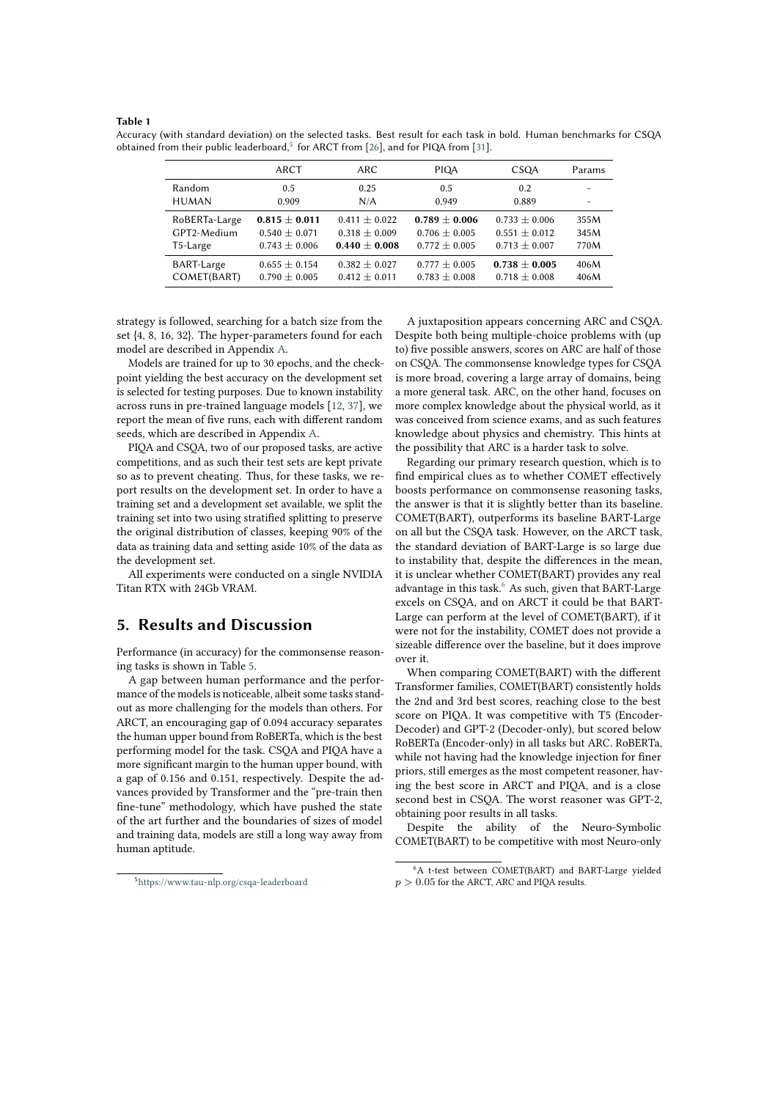#### **Table 1**

|                   | ARCT              | ARC.              | <b>PIOA</b>       | <b>CSOA</b>       | Params                   |
|-------------------|-------------------|-------------------|-------------------|-------------------|--------------------------|
| Random            | 0.5               | 0.25              | 0.5               | 0.2               | $\overline{\phantom{a}}$ |
| <b>HUMAN</b>      | 0.909             | N/A               | 0.949             | 0.889             |                          |
| RoBERTa-Large     | $0.815 \pm 0.011$ | $0.411 \pm 0.022$ | $0.789 \pm 0.006$ | $0.733 \pm 0.006$ | 355M                     |
| GPT2-Medium       | $0.540 \pm 0.071$ | $0.318 \pm 0.009$ | $0.706 \pm 0.005$ | $0.551 \pm 0.012$ | 345M                     |
| T5-Large          | $0.743 \pm 0.006$ | $0.440 \pm 0.008$ | $0.772 \pm 0.005$ | $0.713 \pm 0.007$ | 770M                     |
| <b>BART-Large</b> | $0.655 \pm 0.154$ | $0.382 \pm 0.027$ | $0.777 \pm 0.005$ | $0.738 \pm 0.005$ | 406M                     |
| COMET(BART)       | $0.790 \pm 0.005$ | $0.412 \pm 0.011$ | $0.783 \pm 0.008$ | $0.718 \pm 0.008$ | 406M                     |

Accuracy (with standard deviation) on the selected tasks. Best result for each task in bold. Human benchmarks for CSQA obtained from their public leaderboard,<sup>[5](#page-4-0)</sup> for ARCT from [\[26\]](#page-7-0), and for PIQA from [\[31\]](#page-7-5).

strategy is followed, searching for a batch size from the set {4, 8, 16, 32}. The hyper-parameters found for each model are described in Appendix [A.](#page-7-11)

Models are trained for up to 30 epochs, and the checkpoint yielding the best accuracy on the development set is selected for testing purposes. Due to known instability across runs in pre-trained language models [\[12,](#page-6-8) [37\]](#page-7-12), we report the mean of five runs, each with different random seeds, which are described in Appendix [A.](#page-7-11)

PIQA and CSQA, two of our proposed tasks, are active competitions, and as such their test sets are kept private so as to prevent cheating. Thus, for these tasks, we report results on the development set. In order to have a training set and a development set available, we split the training set into two using stratified splitting to preserve the original distribution of classes, keeping 90% of the data as training data and setting aside 10% of the data as the development set.

All experiments were conducted on a single NVIDIA Titan RTX with 24Gb VRAM.

## <span id="page-4-1"></span>**5. Results and Discussion**

Performance (in accuracy) for the commonsense reasoning tasks is shown in Table [5.](#page-4-1)

A gap between human performance and the performance of the models is noticeable, albeit some tasks standout as more challenging for the models than others. For ARCT, an encouraging gap of 0.094 accuracy separates the human upper bound from RoBERTa, which is the best performing model for the task. CSQA and PIQA have a more significant margin to the human upper bound, with a gap of 0.156 and 0.151, respectively. Despite the advances provided by Transformer and the "pre-train then fine-tune" methodology, which have pushed the state of the art further and the boundaries of sizes of model and training data, models are still a long way away from human aptitude.

A juxtaposition appears concerning ARC and CSQA. Despite both being multiple-choice problems with (up to) five possible answers, scores on ARC are half of those on CSQA. The commonsense knowledge types for CSQA is more broad, covering a large array of domains, being a more general task. ARC, on the other hand, focuses on more complex knowledge about the physical world, as it was conceived from science exams, and as such features knowledge about physics and chemistry. This hints at the possibility that ARC is a harder task to solve.

Regarding our primary research question, which is to find empirical clues as to whether COMET effectively boosts performance on commonsense reasoning tasks, the answer is that it is slightly better than its baseline. COMET(BART), outperforms its baseline BART-Large on all but the CSQA task. However, on the ARCT task, the standard deviation of BART-Large is so large due to instability that, despite the differences in the mean, it is unclear whether COMET(BART) provides any real advantage in this task.<sup>[6](#page-4-2)</sup> As such, given that BART-Large excels on CSQA, and on ARCT it could be that BART-Large can perform at the level of COMET(BART), if it were not for the instability, COMET does not provide a sizeable difference over the baseline, but it does improve over it.

When comparing COMET(BART) with the different Transformer families, COMET(BART) consistently holds the 2nd and 3rd best scores, reaching close to the best score on PIQA. It was competitive with T5 (Encoder-Decoder) and GPT-2 (Decoder-only), but scored below RoBERTa (Encoder-only) in all tasks but ARC. RoBERTa, while not having had the knowledge injection for finer priors, still emerges as the most competent reasoner, having the best score in ARCT and PIQA, and is a close second best in CSQA. The worst reasoner was GPT-2, obtaining poor results in all tasks.

Despite the ability of the Neuro-Symbolic COMET(BART) to be competitive with most Neuro-only

<span id="page-4-2"></span><sup>6</sup>A t-test between COMET(BART) and BART-Large yielded  $p > 0.05$  for the ARCT, ARC and PIQA results.

<span id="page-4-0"></span><sup>5</sup><https://www.tau-nlp.org/csqa-leaderboard>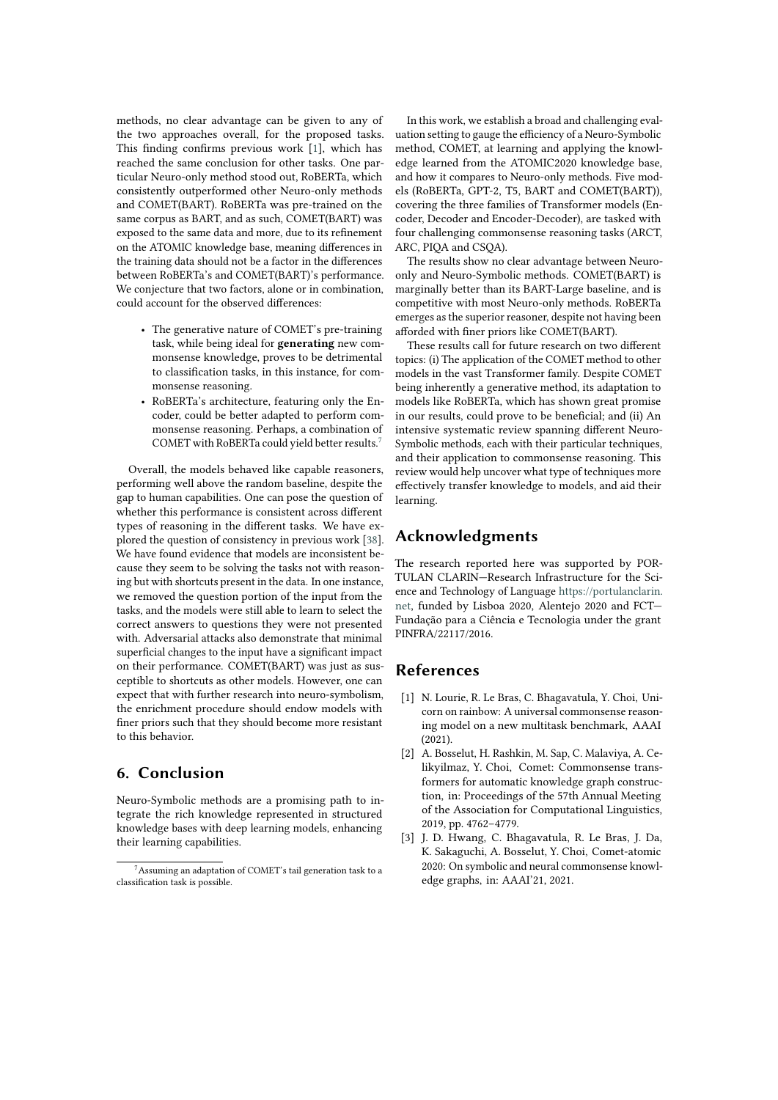methods, no clear advantage can be given to any of the two approaches overall, for the proposed tasks. This finding confirms previous work [\[1\]](#page-5-0), which has reached the same conclusion for other tasks. One particular Neuro-only method stood out, RoBERTa, which consistently outperformed other Neuro-only methods and COMET(BART). RoBERTa was pre-trained on the same corpus as BART, and as such, COMET(BART) was exposed to the same data and more, due to its refinement on the ATOMIC knowledge base, meaning differences in the training data should not be a factor in the differences between RoBERTa's and COMET(BART)'s performance. We conjecture that two factors, alone or in combination, could account for the observed differences:

- The generative nature of COMET's pre-training task, while being ideal for **generating** new commonsense knowledge, proves to be detrimental to classification tasks, in this instance, for commonsense reasoning.
- RoBERTa's architecture, featuring only the Encoder, could be better adapted to perform commonsense reasoning. Perhaps, a combination of COMET with RoBERTa could yield better results.[7](#page-5-3)

Overall, the models behaved like capable reasoners, performing well above the random baseline, despite the gap to human capabilities. One can pose the question of whether this performance is consistent across different types of reasoning in the different tasks. We have explored the question of consistency in previous work [\[38\]](#page-7-13). We have found evidence that models are inconsistent because they seem to be solving the tasks not with reasoning but with shortcuts present in the data. In one instance, we removed the question portion of the input from the tasks, and the models were still able to learn to select the correct answers to questions they were not presented with. Adversarial attacks also demonstrate that minimal superficial changes to the input have a significant impact on their performance. COMET(BART) was just as susceptible to shortcuts as other models. However, one can expect that with further research into neuro-symbolism, the enrichment procedure should endow models with finer priors such that they should become more resistant to this behavior.

# **6. Conclusion**

Neuro-Symbolic methods are a promising path to integrate the rich knowledge represented in structured knowledge bases with deep learning models, enhancing their learning capabilities.

In this work, we establish a broad and challenging evaluation setting to gauge the efficiency of a Neuro-Symbolic method, COMET, at learning and applying the knowledge learned from the ATOMIC2020 knowledge base, and how it compares to Neuro-only methods. Five models (RoBERTa, GPT-2, T5, BART and COMET(BART)), covering the three families of Transformer models (Encoder, Decoder and Encoder-Decoder), are tasked with four challenging commonsense reasoning tasks (ARCT, ARC, PIQA and CSQA).

The results show no clear advantage between Neuroonly and Neuro-Symbolic methods. COMET(BART) is marginally better than its BART-Large baseline, and is competitive with most Neuro-only methods. RoBERTa emerges as the superior reasoner, despite not having been afforded with finer priors like COMET(BART).

These results call for future research on two different topics: (i) The application of the COMET method to other models in the vast Transformer family. Despite COMET being inherently a generative method, its adaptation to models like RoBERTa, which has shown great promise in our results, could prove to be beneficial; and (ii) An intensive systematic review spanning different Neuro-Symbolic methods, each with their particular techniques, and their application to commonsense reasoning. This review would help uncover what type of techniques more effectively transfer knowledge to models, and aid their learning.

## **Acknowledgments**

The research reported here was supported by POR-TULAN CLARIN—Research Infrastructure for the Science and Technology of Language [https://portulanclarin.](https://portulanclarin.net) [net,](https://portulanclarin.net) funded by Lisboa 2020, Alentejo 2020 and FCT— Fundação para a Ciência e Tecnologia under the grant PINFRA/22117/2016.

## **References**

- <span id="page-5-0"></span>[1] N. Lourie, R. Le Bras, C. Bhagavatula, Y. Choi, Unicorn on rainbow: A universal commonsense reasoning model on a new multitask benchmark, AAAI (2021).
- <span id="page-5-1"></span>[2] A. Bosselut, H. Rashkin, M. Sap, C. Malaviya, A. Celikyilmaz, Y. Choi, Comet: Commonsense transformers for automatic knowledge graph construction, in: Proceedings of the 57th Annual Meeting of the Association for Computational Linguistics, 2019, pp. 4762–4779.
- <span id="page-5-2"></span>[3] J. D. Hwang, C. Bhagavatula, R. Le Bras, J. Da, K. Sakaguchi, A. Bosselut, Y. Choi, Comet-atomic 2020: On symbolic and neural commonsense knowledge graphs, in: AAAI'21, 2021.

<span id="page-5-3"></span><sup>7</sup>Assuming an adaptation of COMET's tail generation task to a classification task is possible.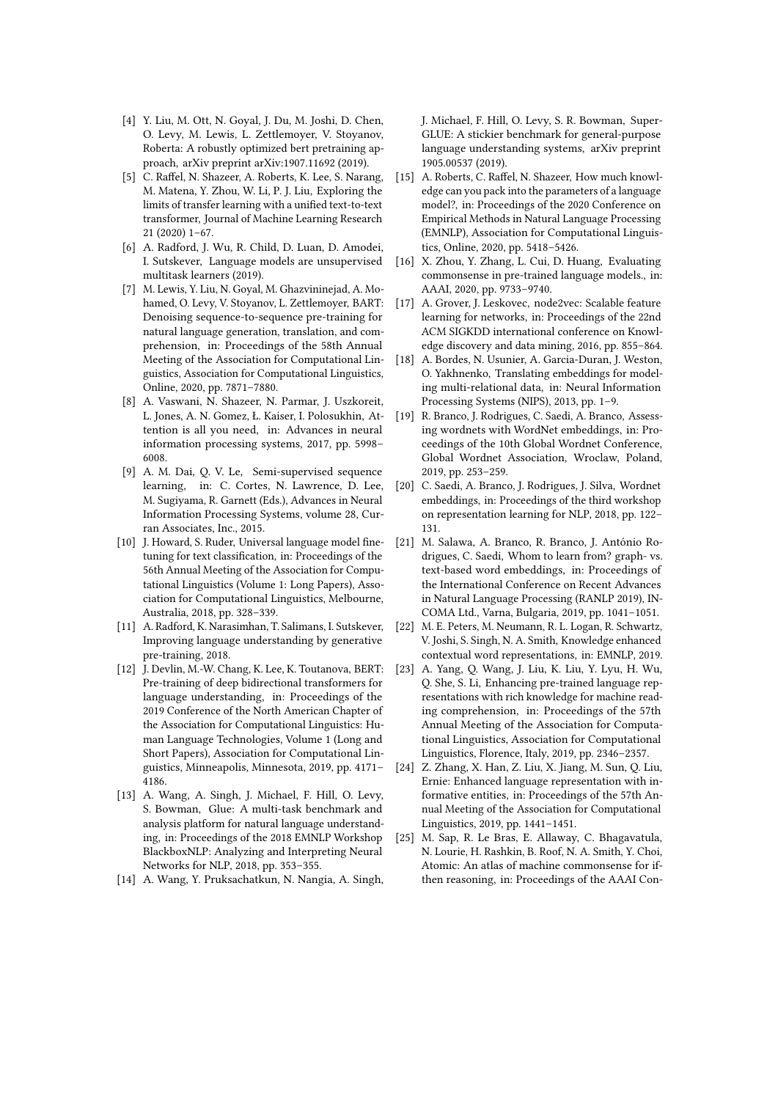- <span id="page-6-0"></span>[4] Y. Liu, M. Ott, N. Goyal, J. Du, M. Joshi, D. Chen, O. Levy, M. Lewis, L. Zettlemoyer, V. Stoyanov, Roberta: A robustly optimized bert pretraining approach, arXiv preprint arXiv:1907.11692 (2019).
- <span id="page-6-1"></span>[5] C. Raffel, N. Shazeer, A. Roberts, K. Lee, S. Narang, M. Matena, Y. Zhou, W. Li, P. J. Liu, Exploring the limits of transfer learning with a unified text-to-text transformer, Journal of Machine Learning Research 21 (2020) 1–67.
- <span id="page-6-2"></span>[6] A. Radford, J. Wu, R. Child, D. Luan, D. Amodei, I. Sutskever, Language models are unsupervised multitask learners (2019).
- <span id="page-6-3"></span>[7] M. Lewis, Y. Liu, N. Goyal, M. Ghazvininejad, A. Mohamed, O. Levy, V. Stoyanov, L. Zettlemoyer, BART: Denoising sequence-to-sequence pre-training for natural language generation, translation, and comprehension, in: Proceedings of the 58th Annual Meeting of the Association for Computational Linguistics, Association for Computational Linguistics, Online, 2020, pp. 7871–7880.
- <span id="page-6-4"></span>[8] A. Vaswani, N. Shazeer, N. Parmar, J. Uszkoreit, L. Jones, A. N. Gomez, Ł. Kaiser, I. Polosukhin, Attention is all you need, in: Advances in neural information processing systems, 2017, pp. 5998– 6008.
- <span id="page-6-5"></span>[9] A. M. Dai, Q. V. Le, Semi-supervised sequence learning, in: C. Cortes, N. Lawrence, D. Lee, M. Sugiyama, R. Garnett (Eds.), Advances in Neural Information Processing Systems, volume 28, Curran Associates, Inc., 2015.
- <span id="page-6-6"></span>[10] J. Howard, S. Ruder, Universal language model finetuning for text classification, in: Proceedings of the 56th Annual Meeting of the Association for Computational Linguistics (Volume 1: Long Papers), Association for Computational Linguistics, Melbourne, Australia, 2018, pp. 328–339.
- <span id="page-6-7"></span>[11] A. Radford, K. Narasimhan, T. Salimans, I. Sutskever, Improving language understanding by generative pre-training, 2018.
- <span id="page-6-8"></span>[12] J. Devlin, M.-W. Chang, K. Lee, K. Toutanova, BERT: Pre-training of deep bidirectional transformers for language understanding, in: Proceedings of the 2019 Conference of the North American Chapter of the Association for Computational Linguistics: Human Language Technologies, Volume 1 (Long and Short Papers), Association for Computational Linguistics, Minneapolis, Minnesota, 2019, pp. 4171– 4186.
- <span id="page-6-9"></span>[13] A. Wang, A. Singh, J. Michael, F. Hill, O. Levy, S. Bowman, Glue: A multi-task benchmark and analysis platform for natural language understanding, in: Proceedings of the 2018 EMNLP Workshop BlackboxNLP: Analyzing and Interpreting Neural Networks for NLP, 2018, pp. 353–355.
- <span id="page-6-10"></span>[14] A. Wang, Y. Pruksachatkun, N. Nangia, A. Singh,

J. Michael, F. Hill, O. Levy, S. R. Bowman, Super-GLUE: A stickier benchmark for general-purpose language understanding systems, arXiv preprint 1905.00537 (2019).

- <span id="page-6-11"></span>[15] A. Roberts, C. Raffel, N. Shazeer, How much knowledge can you pack into the parameters of a language model?, in: Proceedings of the 2020 Conference on Empirical Methods in Natural Language Processing (EMNLP), Association for Computational Linguistics, Online, 2020, pp. 5418–5426.
- <span id="page-6-12"></span>[16] X. Zhou, Y. Zhang, L. Cui, D. Huang, Evaluating commonsense in pre-trained language models., in: AAAI, 2020, pp. 9733–9740.
- <span id="page-6-13"></span>[17] A. Grover, J. Leskovec, node2vec: Scalable feature learning for networks, in: Proceedings of the 22nd ACM SIGKDD international conference on Knowledge discovery and data mining, 2016, pp. 855–864.
- <span id="page-6-14"></span>[18] A. Bordes, N. Usunier, A. Garcia-Duran, J. Weston, O. Yakhnenko, Translating embeddings for modeling multi-relational data, in: Neural Information Processing Systems (NIPS), 2013, pp. 1–9.
- <span id="page-6-15"></span>[19] R. Branco, J. Rodrigues, C. Saedi, A. Branco, Assessing wordnets with WordNet embeddings, in: Proceedings of the 10th Global Wordnet Conference, Global Wordnet Association, Wroclaw, Poland, 2019, pp. 253–259.
- <span id="page-6-16"></span>[20] C. Saedi, A. Branco, J. Rodrigues, J. Silva, Wordnet embeddings, in: Proceedings of the third workshop on representation learning for NLP, 2018, pp. 122– 131.
- <span id="page-6-17"></span>[21] M. Salawa, A. Branco, R. Branco, J. António Rodrigues, C. Saedi, Whom to learn from? graph- vs. text-based word embeddings, in: Proceedings of the International Conference on Recent Advances in Natural Language Processing (RANLP 2019), IN-COMA Ltd., Varna, Bulgaria, 2019, pp. 1041–1051.
- <span id="page-6-18"></span>[22] M. E. Peters, M. Neumann, R. L. Logan, R. Schwartz, V. Joshi, S. Singh, N. A. Smith, Knowledge enhanced contextual word representations, in: EMNLP, 2019.
- <span id="page-6-19"></span>[23] A. Yang, Q. Wang, J. Liu, K. Liu, Y. Lyu, H. Wu, Q. She, S. Li, Enhancing pre-trained language representations with rich knowledge for machine reading comprehension, in: Proceedings of the 57th Annual Meeting of the Association for Computational Linguistics, Association for Computational Linguistics, Florence, Italy, 2019, pp. 2346–2357.
- <span id="page-6-20"></span>[24] Z. Zhang, X. Han, Z. Liu, X. Jiang, M. Sun, Q. Liu, Ernie: Enhanced language representation with informative entities, in: Proceedings of the 57th Annual Meeting of the Association for Computational Linguistics, 2019, pp. 1441–1451.
- <span id="page-6-21"></span>[25] M. Sap, R. Le Bras, E. Allaway, C. Bhagavatula, N. Lourie, H. Rashkin, B. Roof, N. A. Smith, Y. Choi, Atomic: An atlas of machine commonsense for ifthen reasoning, in: Proceedings of the AAAI Con-